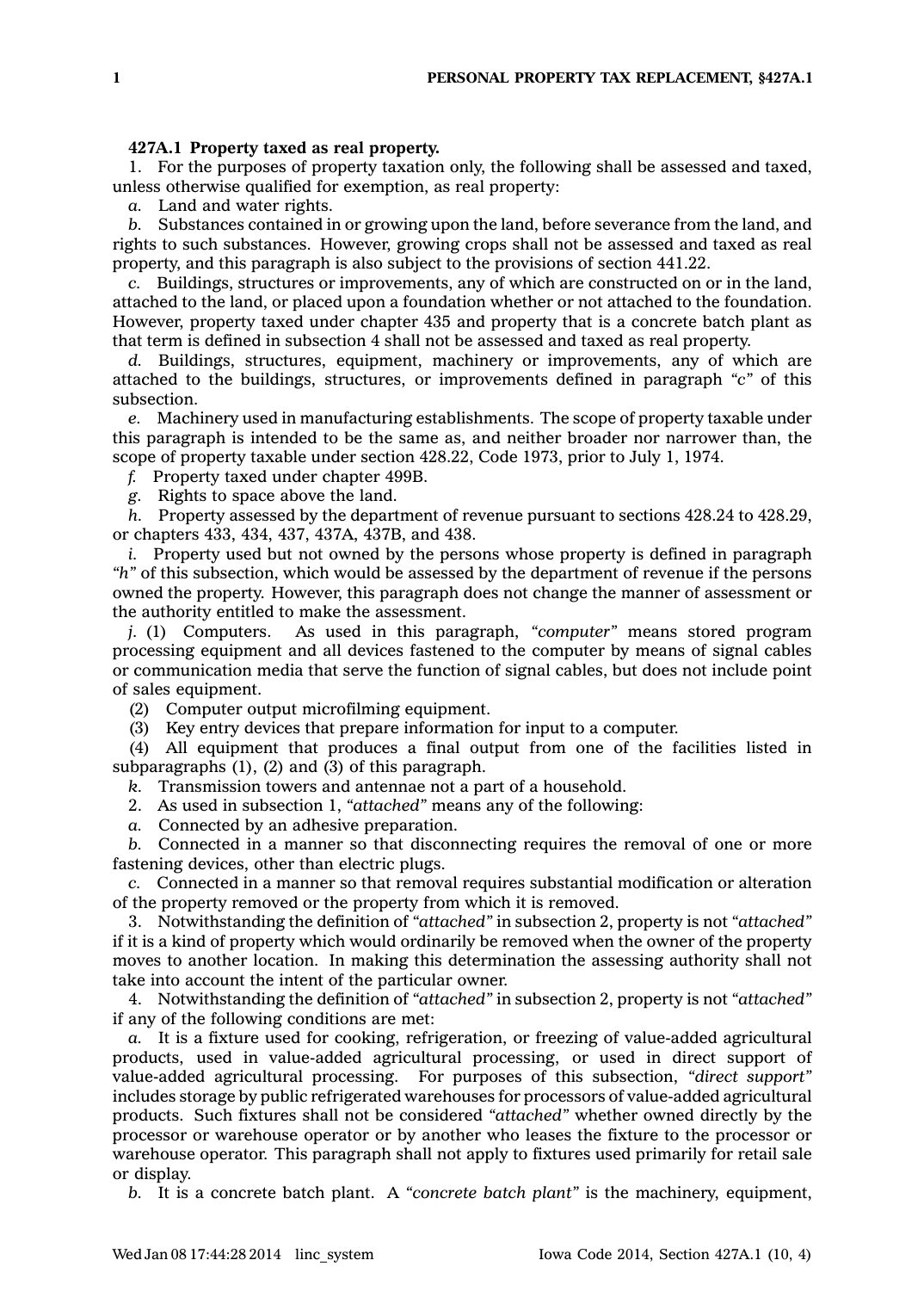## **427A.1 Property taxed as real property.**

1. For the purposes of property taxation only, the following shall be assessed and taxed, unless otherwise qualified for exemption, as real property:

*a.* Land and water rights.

*b.* Substances contained in or growing upon the land, before severance from the land, and rights to such substances. However, growing crops shall not be assessed and taxed as real property, and this paragraph is also subject to the provisions of section 441.22.

*c.* Buildings, structures or improvements, any of which are constructed on or in the land, attached to the land, or placed upon <sup>a</sup> foundation whether or not attached to the foundation. However, property taxed under chapter 435 and property that is <sup>a</sup> concrete batch plant as that term is defined in subsection 4 shall not be assessed and taxed as real property.

*d.* Buildings, structures, equipment, machinery or improvements, any of which are attached to the buildings, structures, or improvements defined in paragraph *"c"* of this subsection.

*e.* Machinery used in manufacturing establishments. The scope of property taxable under this paragraph is intended to be the same as, and neither broader nor narrower than, the scope of property taxable under section 428.22, Code 1973, prior to July 1, 1974.

*f.* Property taxed under chapter 499B.

*g.* Rights to space above the land.

*h.* Property assessed by the department of revenue pursuant to sections 428.24 to 428.29, or chapters 433, 434, 437, 437A, 437B, and 438.

*i.* Property used but not owned by the persons whose property is defined in paragraph *"h"* of this subsection, which would be assessed by the department of revenue if the persons owned the property. However, this paragraph does not change the manner of assessment or the authority entitled to make the assessment.

*j.* (1) Computers. As used in this paragraph, *"computer"* means stored program processing equipment and all devices fastened to the computer by means of signal cables or communication media that serve the function of signal cables, but does not include point of sales equipment.

(2) Computer output microfilming equipment.

(3) Key entry devices that prepare information for input to <sup>a</sup> computer.

(4) All equipment that produces <sup>a</sup> final output from one of the facilities listed in subparagraphs (1), (2) and (3) of this paragraph.

*k.* Transmission towers and antennae not <sup>a</sup> part of <sup>a</sup> household.

2. As used in subsection 1, *"attached"* means any of the following:

*a.* Connected by an adhesive preparation.

*b.* Connected in <sup>a</sup> manner so that disconnecting requires the removal of one or more fastening devices, other than electric plugs.

*c.* Connected in <sup>a</sup> manner so that removal requires substantial modification or alteration of the property removed or the property from which it is removed.

3. Notwithstanding the definition of *"attached"* in subsection 2, property is not *"attached"* if it is <sup>a</sup> kind of property which would ordinarily be removed when the owner of the property moves to another location. In making this determination the assessing authority shall not take into account the intent of the particular owner.

4. Notwithstanding the definition of *"attached"* in subsection 2, property is not *"attached"* if any of the following conditions are met:

*a.* It is <sup>a</sup> fixture used for cooking, refrigeration, or freezing of value-added agricultural products, used in value-added agricultural processing, or used in direct support of value-added agricultural processing. For purposes of this subsection, *"direct support"* includes storage by public refrigerated warehouses for processors of value-added agricultural products. Such fixtures shall not be considered *"attached"* whether owned directly by the processor or warehouse operator or by another who leases the fixture to the processor or warehouse operator. This paragraph shall not apply to fixtures used primarily for retail sale or display.

*b.* It is <sup>a</sup> concrete batch plant. A *"concrete batch plant"* is the machinery, equipment,